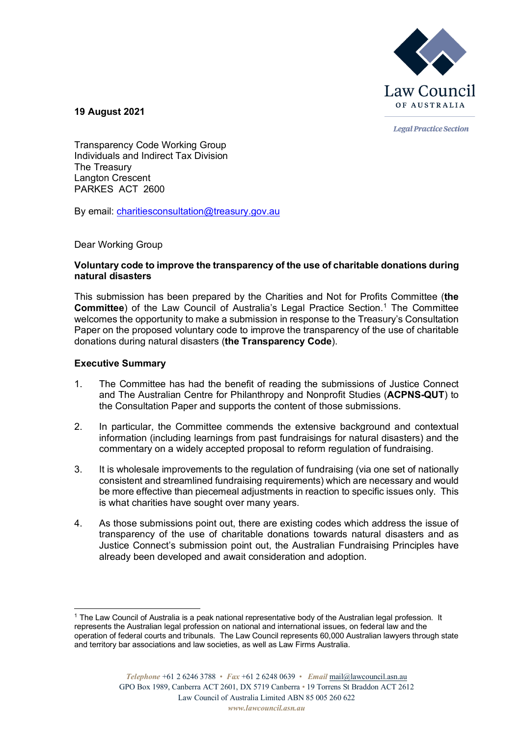

**Legal Practice Section** 

**19 August 2021**

Transparency Code Working Group Individuals and Indirect Tax Division The Treasury Langton Crescent PARKES ACT 2600

By email: [charitiesconsultation@treasury.gov.au](mailto:charitiesconsultation@treasury.gov.au)

Dear Working Group

## **Voluntary code to improve the transparency of the use of charitable donations during natural disasters**

This submission has been prepared by the Charities and Not for Profits Committee (**the Committee**) of the Law Council of Australia's Legal Practice Section. [1](#page-0-0) The Committee welcomes the opportunity to make a submission in response to the Treasury's Consultation Paper on the proposed voluntary code to improve the transparency of the use of charitable donations during natural disasters (**the Transparency Code**).

# **Executive Summary**

- 1. The Committee has had the benefit of reading the submissions of Justice Connect and The Australian Centre for Philanthropy and Nonprofit Studies (**ACPNS-QUT**) to the Consultation Paper and supports the content of those submissions.
- 2. In particular, the Committee commends the extensive background and contextual information (including learnings from past fundraisings for natural disasters) and the commentary on a widely accepted proposal to reform regulation of fundraising.
- 3. It is wholesale improvements to the regulation of fundraising (via one set of nationally consistent and streamlined fundraising requirements) which are necessary and would be more effective than piecemeal adjustments in reaction to specific issues only. This is what charities have sought over many years.
- 4. As those submissions point out, there are existing codes which address the issue of transparency of the use of charitable donations towards natural disasters and as Justice Connect's submission point out, the Australian Fundraising Principles have already been developed and await consideration and adoption.

<span id="page-0-0"></span><sup>1</sup> The Law Council of Australia is a peak national representative body of the Australian legal profession. It represents the Australian legal profession on national and international issues, on federal law and the operation of federal courts and tribunals. The Law Council represents 60,000 Australian lawyers through state and territory bar associations and law societies, as well as Law Firms Australia.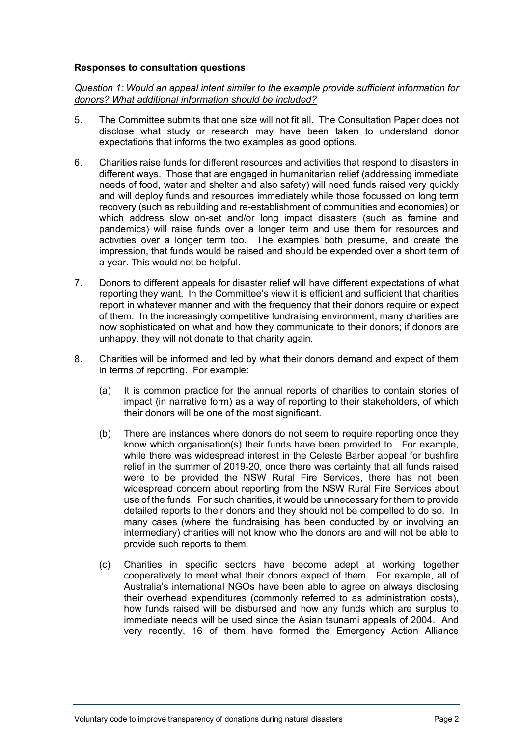## **Responses to consultation questions**

*Question 1: Would an appeal intent similar to the example provide sufficient information for donors? What additional information should be included?*

- 5. The Committee submits that one size will not fit all. The Consultation Paper does not disclose what study or research may have been taken to understand donor expectations that informs the two examples as good options.
- 6. Charities raise funds for different resources and activities that respond to disasters in different ways. Those that are engaged in humanitarian relief (addressing immediate needs of food, water and shelter and also safety) will need funds raised very quickly and will deploy funds and resources immediately while those focussed on long term recovery (such as rebuilding and re-establishment of communities and economies) or which address slow on-set and/or long impact disasters (such as famine and pandemics) will raise funds over a longer term and use them for resources and activities over a longer term too. The examples both presume, and create the impression, that funds would be raised and should be expended over a short term of a year. This would not be helpful.
- 7. Donors to different appeals for disaster relief will have different expectations of what reporting they want. In the Committee's view it is efficient and sufficient that charities report in whatever manner and with the frequency that their donors require or expect of them. In the increasingly competitive fundraising environment, many charities are now sophisticated on what and how they communicate to their donors; if donors are unhappy, they will not donate to that charity again.
- 8. Charities will be informed and led by what their donors demand and expect of them in terms of reporting. For example:
	- (a) It is common practice for the annual reports of charities to contain stories of impact (in narrative form) as a way of reporting to their stakeholders, of which their donors will be one of the most significant.
	- (b) There are instances where donors do not seem to require reporting once they know which organisation(s) their funds have been provided to. For example, while there was widespread interest in the Celeste Barber appeal for bushfire relief in the summer of 2019-20, once there was certainty that all funds raised were to be provided the NSW Rural Fire Services, there has not been widespread concern about reporting from the NSW Rural Fire Services about use of the funds. For such charities, it would be unnecessary for them to provide detailed reports to their donors and they should not be compelled to do so. In many cases (where the fundraising has been conducted by or involving an intermediary) charities will not know who the donors are and will not be able to provide such reports to them.
	- (c) Charities in specific sectors have become adept at working together cooperatively to meet what their donors expect of them. For example, all of Australia's international NGOs have been able to agree on always disclosing their overhead expenditures (commonly referred to as administration costs), how funds raised will be disbursed and how any funds which are surplus to immediate needs will be used since the Asian tsunami appeals of 2004. And very recently, 16 of them have formed the Emergency Action Alliance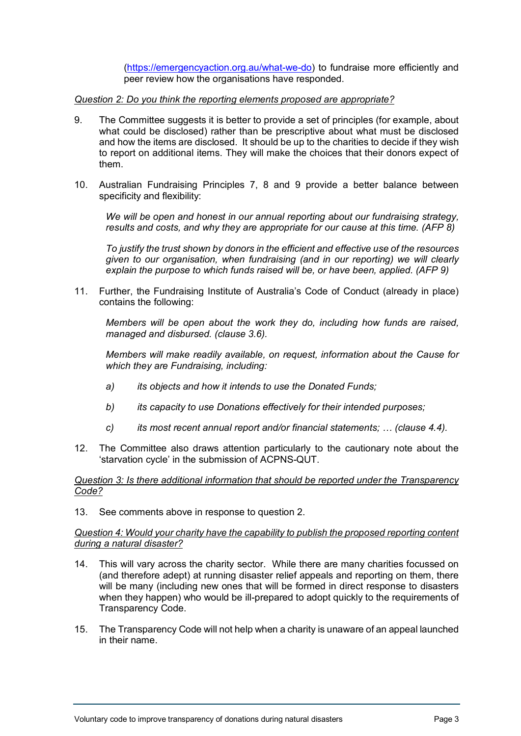[\(https://emergencyaction.org.au/what-we-do\)](https://emergencyaction.org.au/what-we-do) to fundraise more efficiently and peer review how the organisations have responded.

*Question 2: Do you think the reporting elements proposed are appropriate?*

- 9. The Committee suggests it is better to provide a set of principles (for example, about what could be disclosed) rather than be prescriptive about what must be disclosed and how the items are disclosed. It should be up to the charities to decide if they wish to report on additional items. They will make the choices that their donors expect of them.
- 10. Australian Fundraising Principles 7, 8 and 9 provide a better balance between specificity and flexibility:

*We will be open and honest in our annual reporting about our fundraising strategy, results and costs, and why they are appropriate for our cause at this time. (AFP 8)*

*To justify the trust shown by donors in the efficient and effective use of the resources given to our organisation, when fundraising (and in our reporting) we will clearly explain the purpose to which funds raised will be, or have been, applied. (AFP 9)*

11. Further, the Fundraising Institute of Australia's Code of Conduct (already in place) contains the following:

*Members will be open about the work they do, including how funds are raised, managed and disbursed. (clause 3.6).*

*Members will make readily available, on request, information about the Cause for which they are Fundraising, including:*

- *a) its objects and how it intends to use the Donated Funds;*
- *b) its capacity to use Donations effectively for their intended purposes;*
- *c) its most recent annual report and/or financial statements; … (clause 4.4).*
- 12. The Committee also draws attention particularly to the cautionary note about the 'starvation cycle' in the submission of ACPNS-QUT.

## *Question 3: Is there additional information that should be reported under the Transparency Code?*

13. See comments above in response to question 2.

#### *Question 4: Would your charity have the capability to publish the proposed reporting content during a natural disaster?*

- 14. This will vary across the charity sector. While there are many charities focussed on (and therefore adept) at running disaster relief appeals and reporting on them, there will be many (including new ones that will be formed in direct response to disasters when they happen) who would be ill-prepared to adopt quickly to the requirements of Transparency Code.
- 15. The Transparency Code will not help when a charity is unaware of an appeal launched in their name.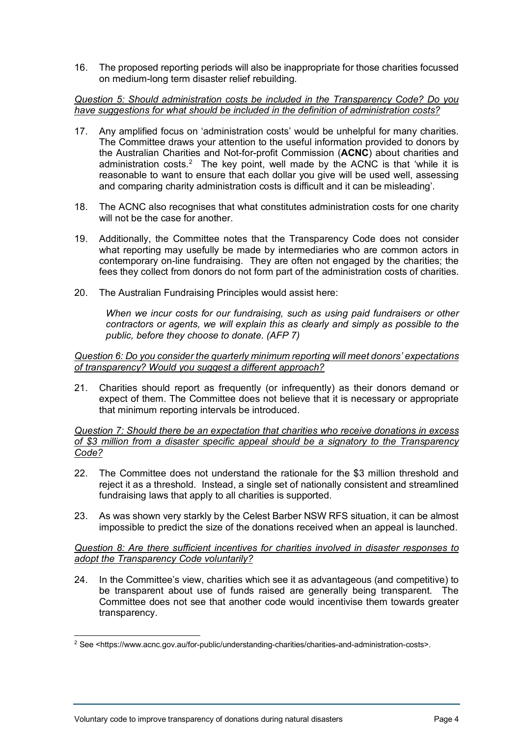16. The proposed reporting periods will also be inappropriate for those charities focussed on medium-long term disaster relief rebuilding.

## *Question 5: Should administration costs be included in the Transparency Code? Do you have suggestions for what should be included in the definition of administration costs?*

- 17. Any amplified focus on 'administration costs' would be unhelpful for many charities. The Committee draws your attention to the useful information provided to donors by the Australian Charities and Not-for-profit Commission (**ACNC**) about charities and administration costs.<sup>[2](#page-3-0)</sup> The key point, well made by the ACNC is that 'while it is reasonable to want to ensure that each dollar you give will be used well, assessing and comparing charity administration costs is difficult and it can be misleading'.
- 18. The ACNC also recognises that what constitutes administration costs for one charity will not be the case for another.
- 19. Additionally, the Committee notes that the Transparency Code does not consider what reporting may usefully be made by intermediaries who are common actors in contemporary on-line fundraising. They are often not engaged by the charities; the fees they collect from donors do not form part of the administration costs of charities.
- 20. The Australian Fundraising Principles would assist here:

*When we incur costs for our fundraising, such as using paid fundraisers or other contractors or agents, we will explain this as clearly and simply as possible to the public, before they choose to donate. (AFP 7)*

*Question 6: Do you consider the quarterly minimum reporting will meet donors' expectations of transparency? Would you suggest a different approach?* 

21. Charities should report as frequently (or infrequently) as their donors demand or expect of them. The Committee does not believe that it is necessary or appropriate that minimum reporting intervals be introduced.

*Question 7: Should there be an expectation that charities who receive donations in excess of \$3 million from a disaster specific appeal should be a signatory to the Transparency Code?*

- 22. The Committee does not understand the rationale for the \$3 million threshold and reject it as a threshold. Instead, a single set of nationally consistent and streamlined fundraising laws that apply to all charities is supported.
- 23. As was shown very starkly by the Celest Barber NSW RFS situation, it can be almost impossible to predict the size of the donations received when an appeal is launched.

*Question 8: Are there sufficient incentives for charities involved in disaster responses to adopt the Transparency Code voluntarily?*

24. In the Committee's view, charities which see it as advantageous (and competitive) to be transparent about use of funds raised are generally being transparent. The Committee does not see that another code would incentivise them towards greater transparency.

<span id="page-3-0"></span><sup>2</sup> See <https://www.acnc.gov.au/for-public/understanding-charities/charities-and-administration-costs>.